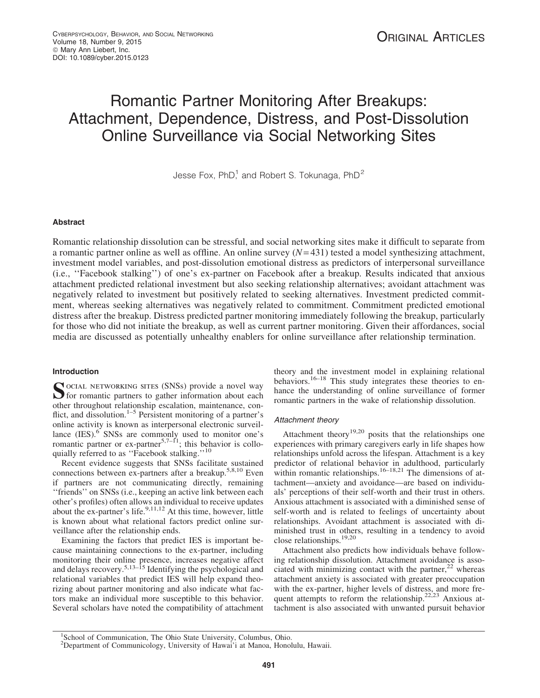# Romantic Partner Monitoring After Breakups: Attachment, Dependence, Distress, and Post-Dissolution Online Surveillance via Social Networking Sites

Jesse Fox, PhD,<sup>1</sup> and Robert S. Tokunaga, PhD<sup>2</sup>

# Abstract

Romantic relationship dissolution can be stressful, and social networking sites make it difficult to separate from a romantic partner online as well as offline. An online survey (*N*= 431) tested a model synthesizing attachment, investment model variables, and post-dissolution emotional distress as predictors of interpersonal surveillance (i.e., ''Facebook stalking'') of one's ex-partner on Facebook after a breakup. Results indicated that anxious attachment predicted relational investment but also seeking relationship alternatives; avoidant attachment was negatively related to investment but positively related to seeking alternatives. Investment predicted commitment, whereas seeking alternatives was negatively related to commitment. Commitment predicted emotional distress after the breakup. Distress predicted partner monitoring immediately following the breakup, particularly for those who did not initiate the breakup, as well as current partner monitoring. Given their affordances, social media are discussed as potentially unhealthy enablers for online surveillance after relationship termination.

# Introduction

SOCIAL NETWORKING SITES (SNSs) provide a novel way for romantic partners to gather information about each other throughout relationship escalation, maintenance, conflict, and dissolution.<sup>1–5</sup> Persistent monitoring of a partner's online activity is known as interpersonal electronic surveillance  $(IES).$ <sup>6</sup> SNSs are commonly used to monitor one's romantic partner or ex-partner<sup>5,7–11</sup>; this behavior is colloquially referred to as "Facebook stalking."<sup>10</sup>

Recent evidence suggests that SNSs facilitate sustained connections between ex-partners after a breakup.<sup>5,8,10</sup> Even if partners are not communicating directly, remaining ''friends'' on SNSs (i.e., keeping an active link between each other's profiles) often allows an individual to receive updates about the ex-partner's life.<sup>9,11,12</sup> At this time, however, little is known about what relational factors predict online surveillance after the relationship ends.

Examining the factors that predict IES is important because maintaining connections to the ex-partner, including monitoring their online presence, increases negative affect and delays recovery.5,13–15 Identifying the psychological and relational variables that predict IES will help expand theorizing about partner monitoring and also indicate what factors make an individual more susceptible to this behavior. Several scholars have noted the compatibility of attachment theory and the investment model in explaining relational behaviors.<sup>16–18</sup> This study integrates these theories to enhance the understanding of online surveillance of former romantic partners in the wake of relationship dissolution.

# Attachment theory

Attachment theory<sup>19,20</sup> posits that the relationships one experiences with primary caregivers early in life shapes how relationships unfold across the lifespan. Attachment is a key predictor of relational behavior in adulthood, particularly within romantic relationships.<sup>16–18,21</sup> The dimensions of attachment—anxiety and avoidance—are based on individuals' perceptions of their self-worth and their trust in others. Anxious attachment is associated with a diminished sense of self-worth and is related to feelings of uncertainty about relationships. Avoidant attachment is associated with diminished trust in others, resulting in a tendency to avoid close relationships.19,20

Attachment also predicts how individuals behave following relationship dissolution. Attachment avoidance is associated with minimizing contact with the partner,  $2^2$  whereas attachment anxiety is associated with greater preoccupation with the ex-partner, higher levels of distress, and more frequent attempts to reform the relationship.<sup>22,23</sup> Anxious attachment is also associated with unwanted pursuit behavior

<sup>1</sup> School of Communication, The Ohio State University, Columbus, Ohio.

<sup>&</sup>lt;sup>2</sup>Department of Communicology, University of Hawai'i at Manoa, Honolulu, Hawaii.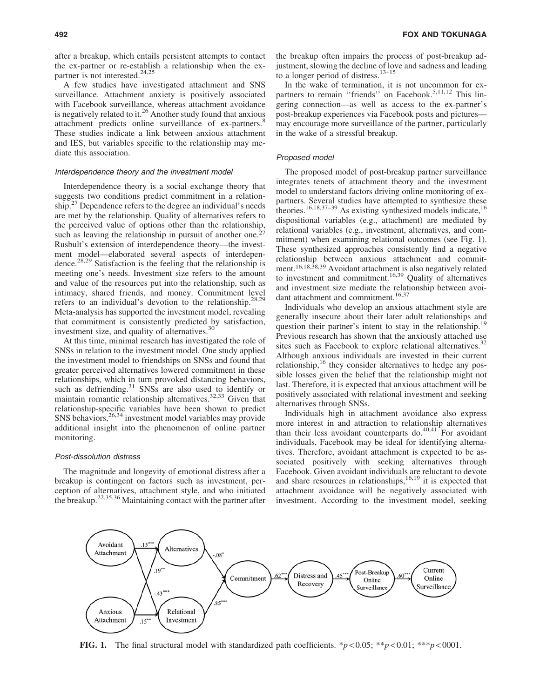after a breakup, which entails persistent attempts to contact the ex-partner or re-establish a relationship when the expartner is not interested. $24,25$ 

A few studies have investigated attachment and SNS surveillance. Attachment anxiety is positively associated with Facebook surveillance, whereas attachment avoidance is negatively related to it.<sup>26</sup> Another study found that anxious attachment predicts online surveillance of ex-partners.<sup>8</sup> These studies indicate a link between anxious attachment and IES, but variables specific to the relationship may mediate this association.

## Interdependence theory and the investment model

Interdependence theory is a social exchange theory that suggests two conditions predict commitment in a relation- $\sinh^{27}$  Dependence refers to the degree an individual's needs are met by the relationship. Quality of alternatives refers to the perceived value of options other than the relationship, such as leaving the relationship in pursuit of another one.<sup>27</sup> Rusbult's extension of interdependence theory—the investment model—elaborated several aspects of interdependence.28,29 Satisfaction is the feeling that the relationship is meeting one's needs. Investment size refers to the amount and value of the resources put into the relationship, such as intimacy, shared friends, and money. Commitment level refers to an individual's devotion to the relationship.<sup>28,29</sup> Meta-analysis has supported the investment model, revealing that commitment is consistently predicted by satisfaction, investment size, and quality of alternatives.<sup>30</sup>

At this time, minimal research has investigated the role of SNSs in relation to the investment model. One study applied the investment model to friendships on SNSs and found that greater perceived alternatives lowered commitment in these relationships, which in turn provoked distancing behaviors, such as defriending.<sup>31</sup> SNSs are also used to identify or maintain romantic relationship alternatives.32,33 Given that relationship-specific variables have been shown to predict SNS behaviors,  $26,34$  investment model variables may provide additional insight into the phenomenon of online partner monitoring.

#### Post-dissolution distress

The magnitude and longevity of emotional distress after a breakup is contingent on factors such as investment, perception of alternatives, attachment style, and who initiated the breakup.22,35,36 Maintaining contact with the partner after the breakup often impairs the process of post-breakup adjustment, slowing the decline of love and sadness and leading to a longer period of distress. $13-15$ 

In the wake of termination, it is not uncommon for expartners to remain "friends" on Facebook.<sup>5,11,12</sup> This lingering connection—as well as access to the ex-partner's post-breakup experiences via Facebook posts and pictures may encourage more surveillance of the partner, particularly in the wake of a stressful breakup.

## Proposed model

The proposed model of post-breakup partner surveillance integrates tenets of attachment theory and the investment model to understand factors driving online monitoring of expartners. Several studies have attempted to synthesize these theories.<sup>16,18,37–39</sup> As existing synthesized models indicate,<sup>16</sup> dispositional variables (e.g., attachment) are mediated by relational variables (e.g., investment, alternatives, and commitment) when examining relational outcomes (see Fig. 1). These synthesized approaches consistently find a negative relationship between anxious attachment and commitment.16,18,38,39 Avoidant attachment is also negatively related to investment and commitment.<sup>16,39</sup> Quality of alternatives and investment size mediate the relationship between avoidant attachment and commitment.<sup>16,37</sup>

Individuals who develop an anxious attachment style are generally insecure about their later adult relationships and question their partner's intent to stay in the relationship.<sup>1</sup> Previous research has shown that the anxiously attached use sites such as Facebook to explore relational alternatives.<sup>32</sup> Although anxious individuals are invested in their current relationship,  $16$  they consider alternatives to hedge any possible losses given the belief that the relationship might not last. Therefore, it is expected that anxious attachment will be positively associated with relational investment and seeking alternatives through SNSs.

Individuals high in attachment avoidance also express more interest in and attraction to relationship alternatives than their less avoidant counterparts do. $40,41$  For avoidant individuals, Facebook may be ideal for identifying alternatives. Therefore, avoidant attachment is expected to be associated positively with seeking alternatives through Facebook. Given avoidant individuals are reluctant to devote and share resources in relationships,  $16,19$  it is expected that attachment avoidance will be negatively associated with investment. According to the investment model, seeking



**FIG. 1.** The final structural model with standardized path coefficients.  $*p < 0.05$ ;  $**p < 0.01$ ;  $**p < 0001$ .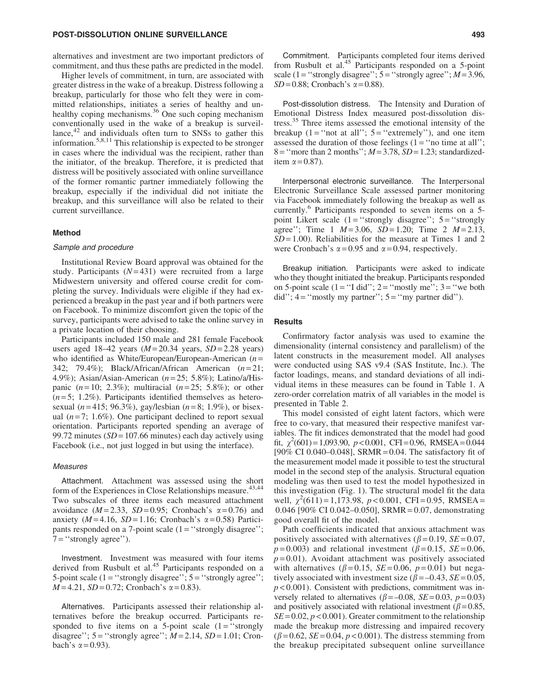#### POST-DISSOLUTION ONLINE SURVEILLANCE 493

alternatives and investment are two important predictors of commitment, and thus these paths are predicted in the model.

Higher levels of commitment, in turn, are associated with greater distress in the wake of a breakup. Distress following a breakup, particularly for those who felt they were in committed relationships, initiates a series of healthy and unhealthy coping mechanisms.<sup>36</sup> One such coping mechanism conventionally used in the wake of a breakup is surveillance, $42$  and individuals often turn to SNSs to gather this information.5,8,11 This relationship is expected to be stronger in cases where the individual was the recipient, rather than the initiator, of the breakup. Therefore, it is predicted that distress will be positively associated with online surveillance of the former romantic partner immediately following the breakup, especially if the individual did not initiate the breakup, and this surveillance will also be related to their current surveillance.

## Method

### Sample and procedure

Institutional Review Board approval was obtained for the study. Participants  $(N=431)$  were recruited from a large Midwestern university and offered course credit for completing the survey. Individuals were eligible if they had experienced a breakup in the past year and if both partners were on Facebook. To minimize discomfort given the topic of the survey, participants were advised to take the online survey in a private location of their choosing.

Participants included 150 male and 281 female Facebook users aged 18–42 years  $(M=20.34$  years,  $SD=2.28$  years) who identified as White/European/European-American (*n* = 342; 79.4%); Black/African/African American (*n* = 21; 4.9%); Asian/Asian-American (*n* = 25; 5.8%); Latino/a/Hispanic  $(n=10; 2.3\%)$ ; multiracial  $(n=25; 5.8\%)$ ; or other  $(n=5; 1.2\%)$ . Participants identified themselves as heterosexual (*n* = 415; 96.3%), gay/lesbian (*n* = 8; 1.9%), or bisexual  $(n=7; 1.6\%)$ . One participant declined to report sexual orientation. Participants reported spending an average of 99.72 minutes  $(SD = 107.66$  minutes) each day actively using Facebook (i.e., not just logged in but using the interface).

#### Measures

Attachment. Attachment was assessed using the short form of the Experiences in Close Relationships measure.<sup>43,44</sup> Two subscales of three items each measured attachment avoidance  $(M=2.33, SD=0.95; Cronbach's  $\alpha = 0.76$ ) and$ anxiety  $(M=4.16, SD=1.16;$  Cronbach's  $\alpha = 0.58$ ) Participants responded on a 7-point scale  $(1 = "strongly disagree"$ ;  $7 =$  "strongly agree").

Investment. Investment was measured with four items derived from Rusbult et al.<sup>45</sup> Participants responded on a 5-point scale  $(1 = "strongly disagree"; 5 = "strongly agree";$  $M = 4.21$ ,  $SD = 0.72$ ; Cronbach's  $\alpha = 0.83$ ).

Alternatives. Participants assessed their relationship alternatives before the breakup occurred. Participants responded to five items on a 5-point scale  $(1 = "strongly$ disagree";  $5 =$  "strongly agree";  $M = 2.14$ ,  $SD = 1.01$ ; Cronbach's  $\alpha$  = 0.93).

Commitment. Participants completed four items derived from Rusbult et al.<sup>45</sup> Participants responded on a 5-point scale (1 = "strongly disagree";  $5 =$  "strongly agree";  $M = 3.96$ , *SD* = 0.88; Cronbach's  $\alpha$  = 0.88).

Post-dissolution distress. The Intensity and Duration of Emotional Distress Index measured post-dissolution distress.<sup>35</sup> Three items assessed the emotional intensity of the breakup  $(1 = "not at all"; 5 = "extremely");$  and one item assessed the duration of those feelings  $(1 = "no time at all"$ ;  $8 =$  "more than 2 months";  $M = 3.78$ ,  $SD = 1.23$ ; standardizeditem  $\alpha$  = 0.87).

Interpersonal electronic surveillance. The Interpersonal Electronic Surveillance Scale assessed partner monitoring via Facebook immediately following the breakup as well as currently.<sup>6</sup> Participants responded to seven items on a 5 point Likert scale  $(1 = "strongly disagree"; 5 = "strongly$ agree''; Time 1 *M* = 3.06, *SD* = 1.20; Time 2 *M* = 2.13,  $SD = 1.00$ ). Reliabilities for the measure at Times 1 and 2 were Cronbach's  $\alpha = 0.95$  and  $\alpha = 0.94$ , respectively.

Breakup initiation. Participants were asked to indicate who they thought initiated the breakup. Participants responded on 5-point scale (1 = "I did";  $2 =$  "mostly me";  $3 =$  "we both did";  $4 =$ "mostly my partner";  $5 =$ "my partner did").

## **Results**

Confirmatory factor analysis was used to examine the dimensionality (internal consistency and parallelism) of the latent constructs in the measurement model. All analyses were conducted using SAS v9.4 (SAS Institute, Inc.). The factor loadings, means, and standard deviations of all individual items in these measures can be found in Table 1. A zero-order correlation matrix of all variables in the model is presented in Table 2.

This model consisted of eight latent factors, which were free to co-vary, that measured their respective manifest variables. The fit indices demonstrated that the model had good fit,  $\chi^2(601) = 1,093.90, p < 0.001, CFI = 0.96, RMSEA = 0.044$ [90% CI 0.040–0.048], SRMR = 0.04. The satisfactory fit of the measurement model made it possible to test the structural model in the second step of the analysis. Structural equation modeling was then used to test the model hypothesized in this investigation (Fig. 1). The structural model fit the data well,  $\chi^2(611) = 1,173.98, p < 0.001$ , CFI = 0.95, RMSEA = 0.046 [90% CI 0.042–0.050], SRMR = 0.07, demonstrating good overall fit of the model.

Path coefficients indicated that anxious attachment was positively associated with alternatives  $(\beta = 0.19, \, SE = 0.07, \,$  $p=0.003$ ) and relational investment ( $\beta=0.15$ , *SE* = 0.06,  $p = 0.01$ ). Avoidant attachment was positively associated with alternatives ( $\beta = 0.15$ , *SE* = 0.06, *p* = 0.01) but negatively associated with investment size  $(\beta = -0.43, SE = 0.05,$  $p < 0.001$ ). Consistent with predictions, commitment was inversely related to alternatives ( $\beta = -0.08$ ,  $SE = 0.03$ ,  $p = 0.03$ ) and positively associated with relational investment ( $\beta$  = 0.85,  $SE = 0.02$ ,  $p < 0.001$ ). Greater commitment to the relationship made the breakup more distressing and impaired recovery  $(\beta = 0.62, SE = 0.04, p < 0.001)$ . The distress stemming from the breakup precipitated subsequent online surveillance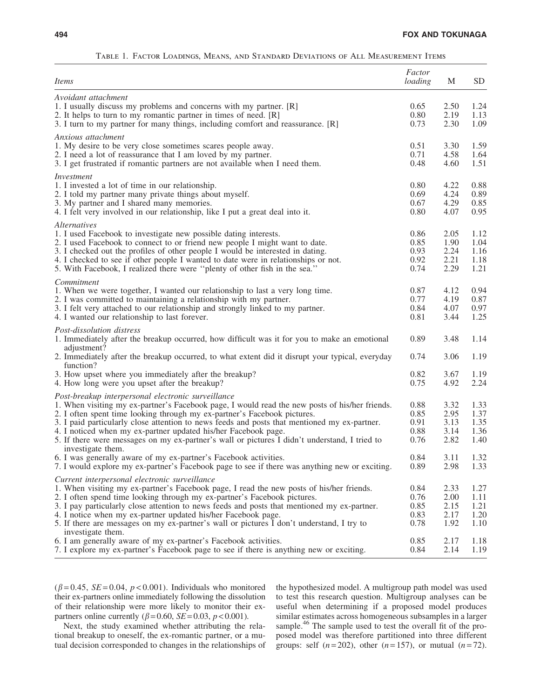| Items                                                                                                                                    | Factor<br>loading | M    | SD   |
|------------------------------------------------------------------------------------------------------------------------------------------|-------------------|------|------|
| Avoidant attachment                                                                                                                      |                   |      |      |
| 1. I usually discuss my problems and concerns with my partner. [R]                                                                       | 0.65              | 2.50 | 1.24 |
| 2. It helps to turn to my romantic partner in times of need. [R]                                                                         | 0.80              | 2.19 | 1.13 |
| 3. I turn to my partner for many things, including comfort and reassurance. [R]                                                          | 0.73              | 2.30 | 1.09 |
| Anxious attachment                                                                                                                       |                   |      |      |
| 1. My desire to be very close sometimes scares people away.                                                                              | 0.51              | 3.30 | 1.59 |
| 2. I need a lot of reassurance that I am loved by my partner.                                                                            | 0.71              | 4.58 | 1.64 |
| 3. I get frustrated if romantic partners are not available when I need them.                                                             | 0.48              | 4.60 | 1.51 |
| Investment                                                                                                                               |                   |      |      |
| 1. I invested a lot of time in our relationship.                                                                                         | 0.80              | 4.22 | 0.88 |
| 2. I told my partner many private things about myself.                                                                                   | 0.69              | 4.24 | 0.89 |
| 3. My partner and I shared many memories.                                                                                                | 0.67              | 4.29 | 0.85 |
| 4. I felt very involved in our relationship, like I put a great deal into it.                                                            | 0.80              | 4.07 | 0.95 |
| <i>Alternatives</i>                                                                                                                      |                   |      |      |
| 1. I used Facebook to investigate new possible dating interests.                                                                         | 0.86              | 2.05 | 1.12 |
| 2. I used Facebook to connect to or friend new people I might want to date.                                                              | 0.85              | 1.90 | 1.04 |
| 3. I checked out the profiles of other people I would be interested in dating.                                                           | 0.93              | 2.24 | 1.16 |
| 4. I checked to see if other people I wanted to date were in relationships or not.                                                       | 0.92              | 2.21 | 1.18 |
| 5. With Facebook, I realized there were "plenty of other fish in the sea."                                                               | 0.74              | 2.29 | 1.21 |
| Commitment                                                                                                                               |                   |      |      |
| 1. When we were together, I wanted our relationship to last a very long time.                                                            | 0.87              | 4.12 | 0.94 |
| 2. I was committed to maintaining a relationship with my partner.                                                                        | 0.77              | 4.19 | 0.87 |
| 3. I felt very attached to our relationship and strongly linked to my partner.                                                           | 0.84              | 4.07 | 0.97 |
| 4. I wanted our relationship to last forever.                                                                                            | 0.81              | 3.44 | 1.25 |
| Post-dissolution distress<br>1. Immediately after the breakup occurred, how difficult was it for you to make an emotional<br>adjustment? | 0.89              | 3.48 | 1.14 |
| 2. Immediately after the breakup occurred, to what extent did it disrupt your typical, everyday<br>function?                             | 0.74              | 3.06 | 1.19 |
| 3. How upset where you immediately after the breakup?                                                                                    | 0.82              | 3.67 | 1.19 |
| 4. How long were you upset after the breakup?                                                                                            | 0.75              | 4.92 | 2.24 |
| Post-breakup interpersonal electronic surveillance                                                                                       |                   |      |      |
| 1. When visiting my ex-partner's Facebook page, I would read the new posts of his/her friends.                                           | 0.88              | 3.32 | 1.33 |
| 2. I often spent time looking through my ex-partner's Facebook pictures.                                                                 | 0.85              | 2.95 | 1.37 |
| 3. I paid particularly close attention to news feeds and posts that mentioned my ex-partner.                                             | 0.91              | 3.13 | 1.35 |
| 4. I noticed when my ex-partner updated his/her Facebook page.                                                                           | 0.88              | 3.14 | 1.36 |
| 5. If there were messages on my ex-partner's wall or pictures I didn't understand, I tried to                                            | 0.76              | 2.82 | 1.40 |
| investigate them.                                                                                                                        |                   |      |      |
| 6. I was generally aware of my ex-partner's Facebook activities.                                                                         | 0.84              | 3.11 | 1.32 |
| 7. I would explore my ex-partner's Facebook page to see if there was anything new or exciting.                                           | 0.89              | 2.98 | 1.33 |
| Current interpersonal electronic surveillance                                                                                            |                   |      |      |
| 1. When visiting my ex-partner's Facebook page, I read the new posts of his/her friends.                                                 | 0.84              | 2.33 | 1.27 |
| 2. I often spend time looking through my ex-partner's Facebook pictures.                                                                 | 0.76              | 2.00 | 1.11 |
| 3. I pay particularly close attention to news feeds and posts that mentioned my ex-partner.                                              | 0.85              | 2.15 | 1.21 |
| 4. I notice when my ex-partner updated his/her Facebook page.                                                                            | 0.83              | 2.17 | 1.20 |
| 5. If there are messages on my ex-partner's wall or pictures I don't understand, I try to                                                | 0.78              | 1.92 | 1.10 |
| investigate them.<br>6. I am generally aware of my ex-partner's Facebook activities.                                                     | 0.85              | 2.17 | 1.18 |
| 7. I explore my ex-partner's Facebook page to see if there is anything new or exciting.                                                  | 0.84              | 2.14 | 1.19 |
|                                                                                                                                          |                   |      |      |

Table 1. Factor Loadings, Means, and Standard Deviations of All Measurement Items

 $(\beta = 0.45, SE = 0.04, p < 0.001)$ . Individuals who monitored their ex-partners online immediately following the dissolution of their relationship were more likely to monitor their expartners online currently  $(\beta = 0.60, \, SE = 0.03, \, p < 0.001)$ .

Next, the study examined whether attributing the relational breakup to oneself, the ex-romantic partner, or a mutual decision corresponded to changes in the relationships of the hypothesized model. A multigroup path model was used to test this research question. Multigroup analyses can be useful when determining if a proposed model produces similar estimates across homogeneous subsamples in a larger sample.<sup>46</sup> The sample used to test the overall fit of the proposed model was therefore partitioned into three different groups: self  $(n=202)$ , other  $(n=157)$ , or mutual  $(n=72)$ .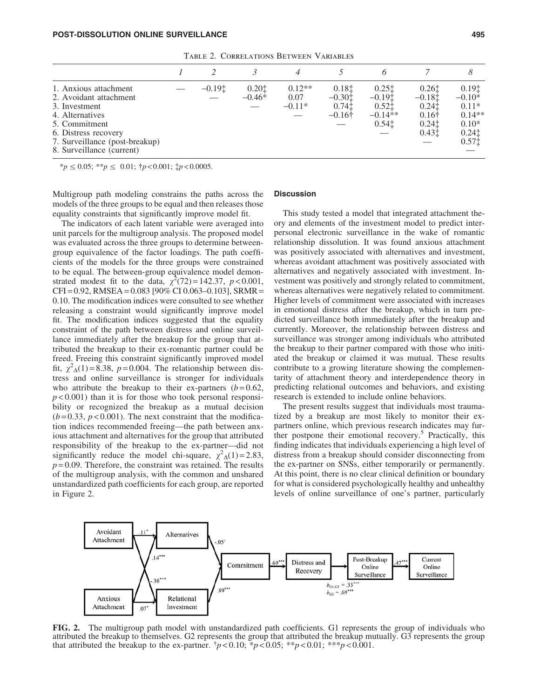|  |                                         |                   |                              |                                              |                                                                                 |                                                                                              | 8                                                                                                                                          |  |
|--|-----------------------------------------|-------------------|------------------------------|----------------------------------------------|---------------------------------------------------------------------------------|----------------------------------------------------------------------------------------------|--------------------------------------------------------------------------------------------------------------------------------------------|--|
|  | $-0.19$ <sup><math>\dagger</math></sup> | 0.201<br>$-0.46*$ | $0.12**$<br>0.07<br>$-0.11*$ | 0.181<br>$-0.301$<br>0.741<br>$-0.16\dagger$ | 0.251<br>$-0.19$ <sup><math>\dagger</math></sup><br>0.521<br>$-0.14**$<br>0.541 | 0.261<br>$-0.18$ $\dagger$<br>$0.24$ $\dagger$<br>$0.16\dagger$<br>$0.24$ $\dagger$<br>0.431 | $0.19$ <sup><math>\dagger</math></sup><br>$-0.10*$<br>$0.11*$<br>$0.14**$<br>$0.10*$<br>$0.24$ <sup><math>\dagger</math></sup><br>$0.57$ ‡ |  |
|  |                                         |                   |                              |                                              |                                                                                 |                                                                                              |                                                                                                                                            |  |
|  |                                         |                   |                              |                                              | TABLE 2. CONNELATIONS DETWEEN VANIABLES                                         |                                                                                              |                                                                                                                                            |  |

Table 2. Correlations Between Variables

 $*_{p} \leq 0.05$ ;  $*_{p} \leq 0.01$ ;  $\uparrow p < 0.001$ ;  $\downarrow p < 0.0005$ .

Multigroup path modeling constrains the paths across the models of the three groups to be equal and then releases those equality constraints that significantly improve model fit.

The indicators of each latent variable were averaged into unit parcels for the multigroup analysis. The proposed model was evaluated across the three groups to determine betweengroup equivalence of the factor loadings. The path coefficients of the models for the three groups were constrained to be equal. The between-group equivalence model demonstrated modest fit to the data,  $\chi^2(72) = 142.37$ ,  $p < 0.001$ ,  $CFI = 0.92$ , RMSEA = 0.083 [90% CI 0.063-0.103], SRMR = 0.10. The modification indices were consulted to see whether releasing a constraint would significantly improve model fit. The modification indices suggested that the equality constraint of the path between distress and online surveillance immediately after the breakup for the group that attributed the breakup to their ex-romantic partner could be freed. Freeing this constraint significantly improved model fit,  $\chi^2$ <sub>△</sub>(1) = 8.38, *p* = 0.004. The relationship between distress and online surveillance is stronger for individuals who attribute the breakup to their ex-partners  $(b=0.62,$  $p < 0.001$ ) than it is for those who took personal responsibility or recognized the breakup as a mutual decision  $(b=0.33, p<0.001)$ . The next constraint that the modification indices recommended freeing—the path between anxious attachment and alternatives for the group that attributed responsibility of the breakup to the ex-partner—did not significantly reduce the model chi-square,  $\chi^2$ <sub>△</sub>(1)=2.83,  $p = 0.09$ . Therefore, the constraint was retained. The results of the multigroup analysis, with the common and unshared unstandardized path coefficients for each group, are reported in Figure 2.

## **Discussion**

This study tested a model that integrated attachment theory and elements of the investment model to predict interpersonal electronic surveillance in the wake of romantic relationship dissolution. It was found anxious attachment was positively associated with alternatives and investment, whereas avoidant attachment was positively associated with alternatives and negatively associated with investment. Investment was positively and strongly related to commitment, whereas alternatives were negatively related to commitment. Higher levels of commitment were associated with increases in emotional distress after the breakup, which in turn predicted surveillance both immediately after the breakup and currently. Moreover, the relationship between distress and surveillance was stronger among individuals who attributed the breakup to their partner compared with those who initiated the breakup or claimed it was mutual. These results contribute to a growing literature showing the complementarity of attachment theory and interdependence theory in predicting relational outcomes and behaviors, and existing research is extended to include online behaviors.

The present results suggest that individuals most traumatized by a breakup are most likely to monitor their expartners online, which previous research indicates may further postpone their emotional recovery.<sup>5</sup> Practically, this finding indicates that individuals experiencing a high level of distress from a breakup should consider disconnecting from the ex-partner on SNSs, either temporarily or permanently. At this point, there is no clear clinical definition or boundary for what is considered psychologically healthy and unhealthy levels of online surveillance of one's partner, particularly



FIG. 2. The multigroup path model with unstandardized path coefficients. G1 represents the group of individuals who attributed the breakup to themselves. G2 represents the group that attributed the breakup mutually. G3 represents the group that attributed the breakup to the ex-partner.  $\dot{p}$  < 0.10; \* $p$  < 0.05; \* $\dot{p}$  < 0.01; \*\*\* $p$  < 0.001.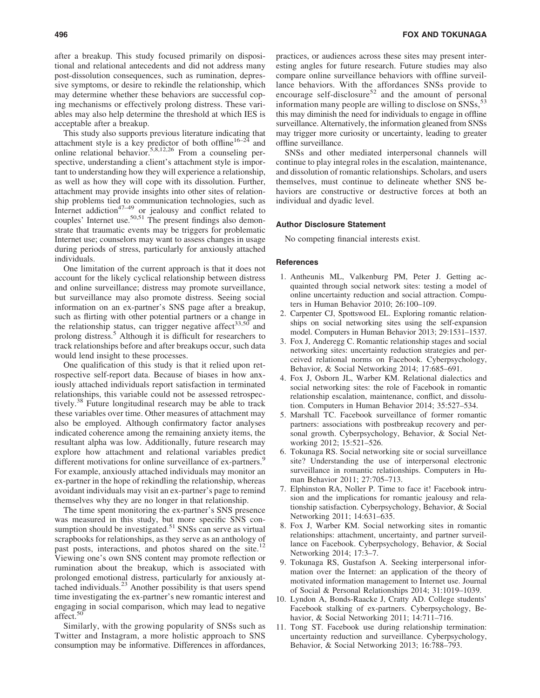after a breakup. This study focused primarily on dispositional and relational antecedents and did not address many post-dissolution consequences, such as rumination, depressive symptoms, or desire to rekindle the relationship, which may determine whether these behaviors are successful coping mechanisms or effectively prolong distress. These variables may also help determine the threshold at which IES is acceptable after a breakup.

This study also supports previous literature indicating that attachment style is a key predictor of both offline<sup>16–24</sup> and online relational behavior.5,8,12,26 From a counseling perspective, understanding a client's attachment style is important to understanding how they will experience a relationship, as well as how they will cope with its dissolution. Further, attachment may provide insights into other sites of relationship problems tied to communication technologies, such as Internet addiction<sup>47–49</sup> or jealousy and conflict related to couples' Internet use.<sup>50,51</sup> The present findings also demonstrate that traumatic events may be triggers for problematic Internet use; counselors may want to assess changes in usage during periods of stress, particularly for anxiously attached individuals.

One limitation of the current approach is that it does not account for the likely cyclical relationship between distress and online surveillance; distress may promote surveillance, but surveillance may also promote distress. Seeing social information on an ex-partner's SNS page after a breakup, such as flirting with other potential partners or a change in the relationship status, can trigger negative affect<sup>33,50</sup> and prolong distress.<sup>5</sup> Although it is difficult for researchers to track relationships before and after breakups occur, such data would lend insight to these processes.

One qualification of this study is that it relied upon retrospective self-report data. Because of biases in how anxiously attached individuals report satisfaction in terminated relationships, this variable could not be assessed retrospectively.<sup>38</sup> Future longitudinal research may be able to track these variables over time. Other measures of attachment may also be employed. Although confirmatory factor analyses indicated coherence among the remaining anxiety items, the resultant alpha was low. Additionally, future research may explore how attachment and relational variables predict different motivations for online surveillance of ex-partners.<sup>9</sup> For example, anxiously attached individuals may monitor an ex-partner in the hope of rekindling the relationship, whereas avoidant individuals may visit an ex-partner's page to remind themselves why they are no longer in that relationship.

The time spent monitoring the ex-partner's SNS presence was measured in this study, but more specific SNS consumption should be investigated.<sup>51</sup> SNSs can serve as virtual scrapbooks for relationships, as they serve as an anthology of past posts, interactions, and photos shared on the site.<sup>12</sup> Viewing one's own SNS content may promote reflection or rumination about the breakup, which is associated with prolonged emotional distress, particularly for anxiously attached individuals.<sup>23</sup> Another possibility is that users spend time investigating the ex-partner's new romantic interest and engaging in social comparison, which may lead to negative affect.<sup>50</sup>

Similarly, with the growing popularity of SNSs such as Twitter and Instagram, a more holistic approach to SNS consumption may be informative. Differences in affordances,

practices, or audiences across these sites may present interesting angles for future research. Future studies may also compare online surveillance behaviors with offline surveillance behaviors. With the affordances SNSs provide to encourage self-disclosure<sup>52</sup> and the amount of personal information many people are willing to disclose on SNSs,<sup>5</sup> this may diminish the need for individuals to engage in offline surveillance. Alternatively, the information gleaned from SNSs may trigger more curiosity or uncertainty, leading to greater offline surveillance.

SNSs and other mediated interpersonal channels will continue to play integral roles in the escalation, maintenance, and dissolution of romantic relationships. Scholars, and users themselves, must continue to delineate whether SNS behaviors are constructive or destructive forces at both an individual and dyadic level.

#### Author Disclosure Statement

No competing financial interests exist.

### **References**

- 1. Antheunis ML, Valkenburg PM, Peter J. Getting acquainted through social network sites: testing a model of online uncertainty reduction and social attraction. Computers in Human Behavior 2010; 26:100–109.
- 2. Carpenter CJ, Spottswood EL. Exploring romantic relationships on social networking sites using the self-expansion model. Computers in Human Behavior 2013; 29:1531–1537.
- 3. Fox J, Anderegg C. Romantic relationship stages and social networking sites: uncertainty reduction strategies and perceived relational norms on Facebook. Cyberpsychology, Behavior, & Social Networking 2014; 17:685–691.
- 4. Fox J, Osborn JL, Warber KM. Relational dialectics and social networking sites: the role of Facebook in romantic relationship escalation, maintenance, conflict, and dissolution. Computers in Human Behavior 2014; 35:527–534.
- 5. Marshall TC. Facebook surveillance of former romantic partners: associations with postbreakup recovery and personal growth. Cyberpsychology, Behavior, & Social Networking 2012; 15:521–526.
- 6. Tokunaga RS. Social networking site or social surveillance site? Understanding the use of interpersonal electronic surveillance in romantic relationships. Computers in Human Behavior 2011; 27:705–713.
- 7. Elphinston RA, Noller P. Time to face it! Facebook intrusion and the implications for romantic jealousy and relationship satisfaction. Cyberpsychology, Behavior, & Social Networking 2011; 14:631–635.
- 8. Fox J, Warber KM. Social networking sites in romantic relationships: attachment, uncertainty, and partner surveillance on Facebook. Cyberpsychology, Behavior, & Social Networking 2014; 17:3–7.
- 9. Tokunaga RS, Gustafson A. Seeking interpersonal information over the Internet: an application of the theory of motivated information management to Internet use. Journal of Social & Personal Relationships 2014; 31:1019–1039.
- 10. Lyndon A, Bonds-Raacke J, Cratty AD. College students' Facebook stalking of ex-partners. Cyberpsychology, Behavior, & Social Networking 2011; 14:711–716.
- 11. Tong ST. Facebook use during relationship termination: uncertainty reduction and surveillance. Cyberpsychology, Behavior, & Social Networking 2013; 16:788–793.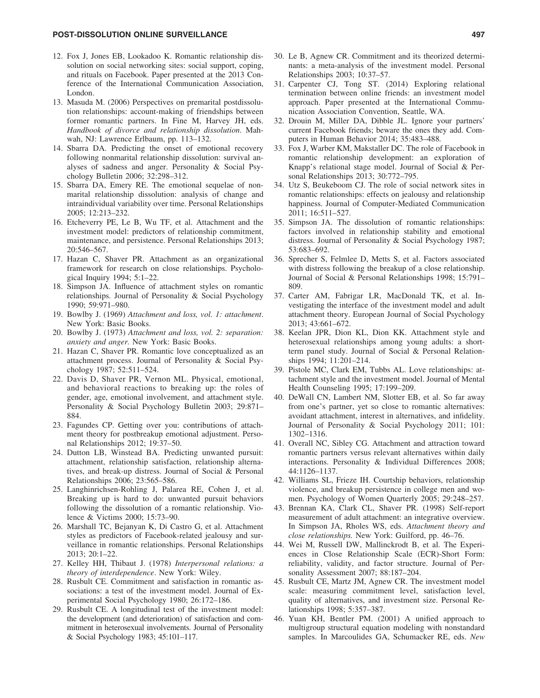## POST-DISSOLUTION ONLINE SURVEILLANCE 497

- 12. Fox J, Jones EB, Lookadoo K. Romantic relationship dissolution on social networking sites: social support, coping, and rituals on Facebook. Paper presented at the 2013 Conference of the International Communication Association, London.
- 13. Masuda M. (2006) Perspectives on premarital postdissolution relationships: account-making of friendships between former romantic partners. In Fine M, Harvey JH, eds. *Handbook of divorce and relationship dissolution*. Mahwah, NJ: Lawrence Erlbaum, pp. 113–132.
- 14. Sbarra DA. Predicting the onset of emotional recovery following nonmarital relationship dissolution: survival analyses of sadness and anger. Personality & Social Psychology Bulletin 2006; 32:298–312.
- 15. Sbarra DA, Emery RE. The emotional sequelae of nonmarital relationship dissolution: analysis of change and intraindividual variability over time. Personal Relationships 2005; 12:213–232.
- 16. Etcheverry PE, Le B, Wu TF, et al. Attachment and the investment model: predictors of relationship commitment, maintenance, and persistence. Personal Relationships 2013; 20:546–567.
- 17. Hazan C, Shaver PR. Attachment as an organizational framework for research on close relationships. Psychological Inquiry 1994; 5:1–22.
- 18. Simpson JA. Influence of attachment styles on romantic relationships. Journal of Personality & Social Psychology 1990; 59:971–980.
- 19. Bowlby J. (1969) *Attachment and loss, vol. 1: attachment*. New York: Basic Books.
- 20. Bowlby J. (1973) *Attachment and loss, vol. 2: separation: anxiety and anger.* New York: Basic Books.
- 21. Hazan C, Shaver PR. Romantic love conceptualized as an attachment process. Journal of Personality & Social Psychology 1987; 52:511–524.
- 22. Davis D, Shaver PR, Vernon ML. Physical, emotional, and behavioral reactions to breaking up: the roles of gender, age, emotional involvement, and attachment style. Personality & Social Psychology Bulletin 2003; 29:871– 884.
- 23. Fagundes CP. Getting over you: contributions of attachment theory for postbreakup emotional adjustment. Personal Relationships 2012; 19:37–50.
- 24. Dutton LB, Winstead BA. Predicting unwanted pursuit: attachment, relationship satisfaction, relationship alternatives, and break-up distress. Journal of Social & Personal Relationships 2006; 23:565–586.
- 25. Langhinrichsen-Rohling J, Palarea RE, Cohen J, et al. Breaking up is hard to do: unwanted pursuit behaviors following the dissolution of a romantic relationship. Violence & Victims 2000; 15:73–90.
- 26. Marshall TC, Bejanyan K, Di Castro G, et al. Attachment styles as predictors of Facebook-related jealousy and surveillance in romantic relationships. Personal Relationships 2013; 20:1–22.
- 27. Kelley HH, Thibaut J. (1978) *Interpersonal relations: a theory of interdependence*. New York: Wiley.
- 28. Rusbult CE. Commitment and satisfaction in romantic associations: a test of the investment model. Journal of Experimental Social Psychology 1980; 26:172–186.
- 29. Rusbult CE. A longitudinal test of the investment model: the development (and deterioration) of satisfaction and commitment in heterosexual involvements. Journal of Personality & Social Psychology 1983; 45:101–117.
- 30. Le B, Agnew CR. Commitment and its theorized determinants: a meta-analysis of the investment model. Personal Relationships 2003; 10:37–57.
- 31. Carpenter CJ, Tong ST. (2014) Exploring relational termination between online friends: an investment model approach. Paper presented at the International Communication Association Convention, Seattle, WA.
- 32. Drouin M, Miller DA, Dibble JL. Ignore your partners' current Facebook friends; beware the ones they add. Computers in Human Behavior 2014; 35:483–488.
- 33. Fox J, Warber KM, Makstaller DC. The role of Facebook in romantic relationship development: an exploration of Knapp's relational stage model. Journal of Social & Personal Relationships 2013; 30:772–795.
- 34. Utz S, Beukeboom CJ. The role of social network sites in romantic relationships: effects on jealousy and relationship happiness. Journal of Computer-Mediated Communication 2011; 16:511–527.
- 35. Simpson JA. The dissolution of romantic relationships: factors involved in relationship stability and emotional distress. Journal of Personality & Social Psychology 1987; 53:683–692.
- 36. Sprecher S, Felmlee D, Metts S, et al. Factors associated with distress following the breakup of a close relationship. Journal of Social & Personal Relationships 1998; 15:791– 809.
- 37. Carter AM, Fabrigar LR, MacDonald TK, et al. Investigating the interface of the investment model and adult attachment theory. European Journal of Social Psychology 2013; 43:661–672.
- 38. Keelan JPR, Dion KL, Dion KK. Attachment style and heterosexual relationships among young adults: a shortterm panel study. Journal of Social & Personal Relationships 1994; 11:201–214.
- 39. Pistole MC, Clark EM, Tubbs AL. Love relationships: attachment style and the investment model. Journal of Mental Health Counseling 1995; 17:199–209.
- 40. DeWall CN, Lambert NM, Slotter EB, et al. So far away from one's partner, yet so close to romantic alternatives: avoidant attachment, interest in alternatives, and infidelity. Journal of Personality & Social Psychology 2011; 101: 1302–1316.
- 41. Overall NC, Sibley CG. Attachment and attraction toward romantic partners versus relevant alternatives within daily interactions. Personality & Individual Differences 2008; 44:1126–1137.
- 42. Williams SL, Frieze IH. Courtship behaviors, relationship violence, and breakup persistence in college men and women. Psychology of Women Quarterly 2005; 29:248–257.
- 43. Brennan KA, Clark CL, Shaver PR. (1998) Self-report measurement of adult attachment: an integrative overview. In Simpson JA, Rholes WS, eds. *Attachment theory and close relationships.* New York: Guilford, pp. 46–76.
- 44. Wei M, Russell DW, Mallinckrodt B, et al. The Experiences in Close Relationship Scale (ECR)-Short Form: reliability, validity, and factor structure. Journal of Personality Assessment 2007; 88:187–204.
- 45. Rusbult CE, Martz JM, Agnew CR. The investment model scale: measuring commitment level, satisfaction level, quality of alternatives, and investment size. Personal Relationships 1998; 5:357–387.
- 46. Yuan KH, Bentler PM. (2001) A unified approach to multigroup structural equation modeling with nonstandard samples. In Marcoulides GA, Schumacker RE, eds. *New*